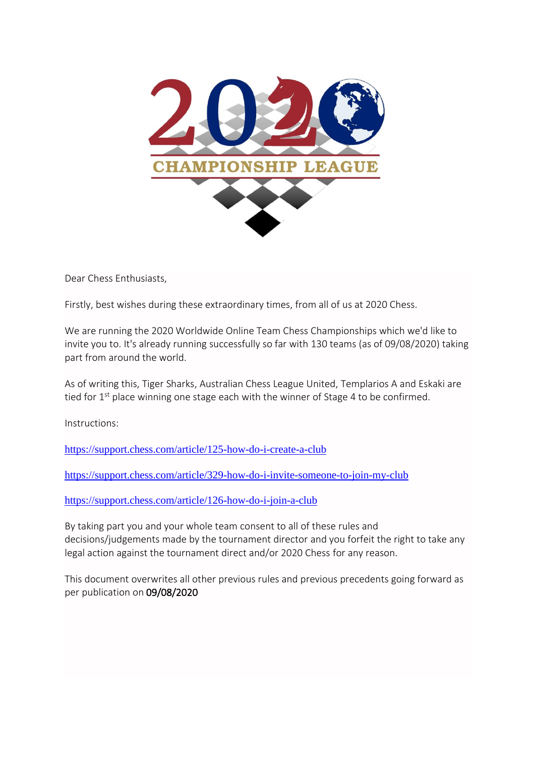

Dear Chess Enthusiasts,

Firstly, best wishes during these extraordinary times, from all of us at 2020 Chess.

We are running the 2020 Worldwide Online Team Chess Championships which we'd like to invite you to. It's already running successfully so far with 130 teams (as of 09/08/2020) taking part from around the world.

As of writing this, Tiger Sharks, Australian Chess League United, Templarios A and Eskaki are tied for  $1<sup>st</sup>$  place winning one stage each with the winner of Stage 4 to be confirmed.

Instructions:

<https://support.chess.com/article/125-how-do-i-create-a-club>

<https://support.chess.com/article/329-how-do-i-invite-someone-to-join-my-club>

<https://support.chess.com/article/126-how-do-i-join-a-club>

By taking part you and your whole team consent to all of these rules and decisions/judgements made by the tournament director and you forfeit the right to take any legal action against the tournament direct and/or 2020 Chess for any reason.

This document overwrites all other previous rules and previous precedents going forward as per publication on 09/08/2020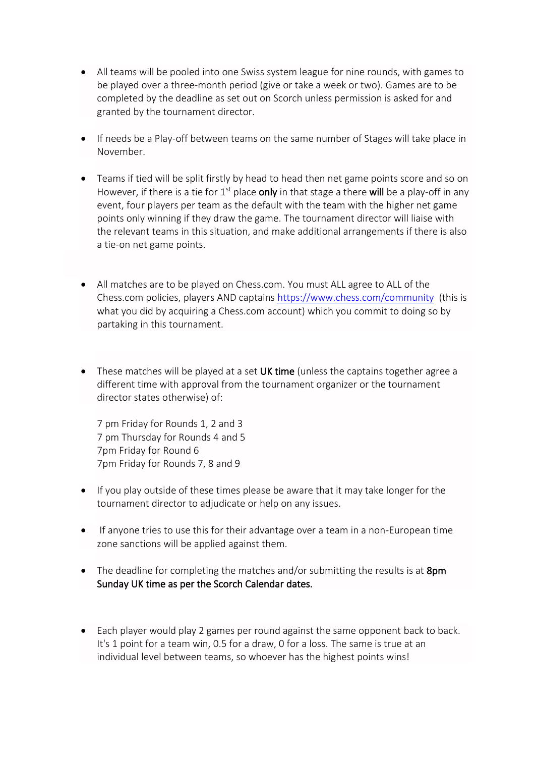- All teams will be pooled into one Swiss system league for nine rounds, with games to be played over a three-month period (give or take a week or two). Games are to be completed by the deadline as set out on Scorch unless permission is asked for and granted by the tournament director.
- If needs be a Play-off between teams on the same number of Stages will take place in November.
- Teams if tied will be split firstly by head to head then net game points score and so on However, if there is a tie for  $1^{st}$  place only in that stage a there will be a play-off in any event, four players per team as the default with the team with the higher net game points only winning if they draw the game. The tournament director will liaise with the relevant teams in this situation, and make additional arrangements if there is also a tie-on net game points.
- All matches are to be played on Chess.com. You must ALL agree to ALL of the Chess.com policies, players AND captains<https://www.chess.com/community> (this is what you did by acquiring a Chess.com account) which you commit to doing so by partaking in this tournament.
- These matches will be played at a set UK time (unless the captains together agree a different time with approval from the tournament organizer or the tournament director states otherwise) of:

7 pm Friday for Rounds 1, 2 and 3 7 pm Thursday for Rounds 4 and 5 7pm Friday for Round 6 7pm Friday for Rounds 7, 8 and 9

- If you play outside of these times please be aware that it may take longer for the tournament director to adjudicate or help on any issues.
- If anyone tries to use this for their advantage over a team in a non-European time zone sanctions will be applied against them.
- The deadline for completing the matches and/or submitting the results is at 8pm Sunday UK time as per the Scorch Calendar dates.
- Each player would play 2 games per round against the same opponent back to back. It's 1 point for a team win, 0.5 for a draw, 0 for a loss. The same is true at an individual level between teams, so whoever has the highest points wins!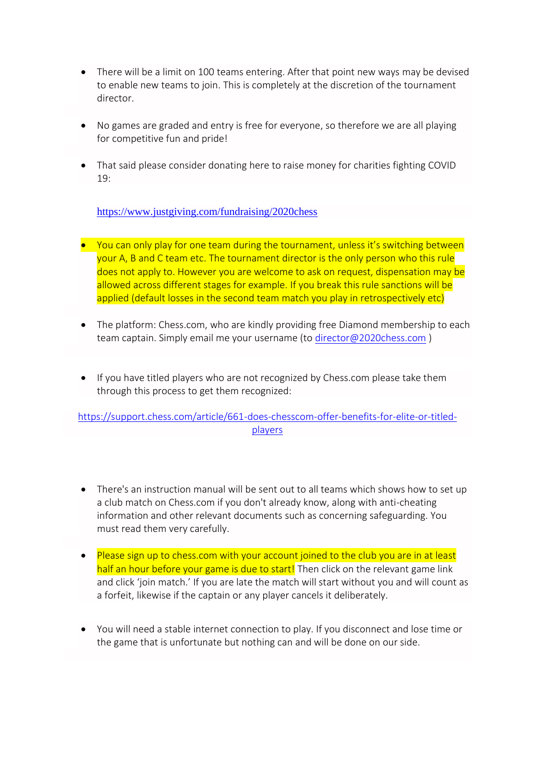- There will be a limit on 100 teams entering. After that point new ways may be devised to enable new teams to join. This is completely at the discretion of the tournament director.
- No games are graded and entry is free for everyone, so therefore we are all playing for competitive fun and pride!
- That said please consider donating here to raise money for charities fighting COVID 19:

<https://www.justgiving.com/fundraising/2020chess>

- You can only play for one team during the tournament, unless it's switching between your A, B and C team etc. The tournament director is the only person who this rule does not apply to. However you are welcome to ask on request, dispensation may be allowed across different stages for example. If you break this rule sanctions will be applied (default losses in the second team match you play in retrospectively etc)
- The platform: Chess.com, who are kindly providing free Diamond membership to each team captain. Simply email me your username (to [director@2020chess.com](mailto:director@2020chess.com) )
- If you have titled players who are not recognized by Chess.com please take them through this process to get them recognized:

[https://support.chess.com/article/661-does-chesscom-offer-benefits-for-elite-or-titled](https://support.chess.com/article/661-does-chesscom-offer-benefits-for-elite-or-titled-players)[players](https://support.chess.com/article/661-does-chesscom-offer-benefits-for-elite-or-titled-players)

- There's an instruction manual will be sent out to all teams which shows how to set up a club match on Chess.com if you don't already know, along with anti-cheating information and other relevant documents such as concerning safeguarding. You must read them very carefully.
- Please sign up to chess.com with your account joined to the club you are in at least half an hour before your game is due to start! Then click on the relevant game link and click 'join match.' If you are late the match will start without you and will count as a forfeit, likewise if the captain or any player cancels it deliberately.
- You will need a stable internet connection to play. If you disconnect and lose time or the game that is unfortunate but nothing can and will be done on our side.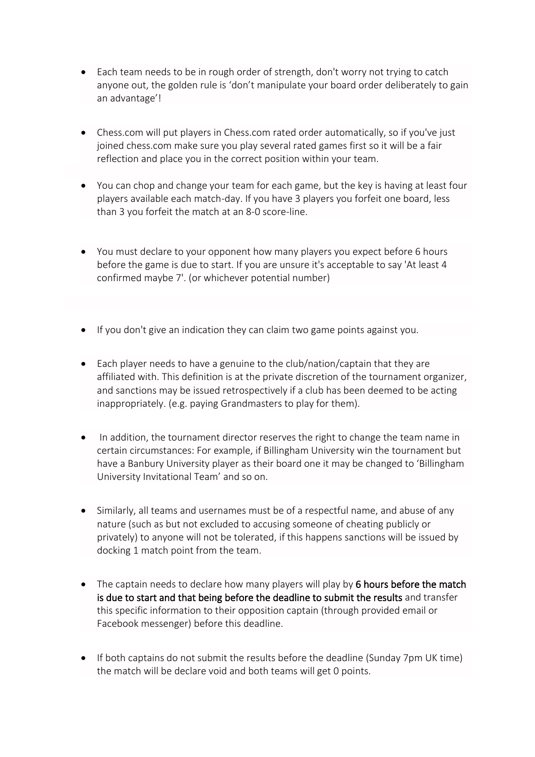- Each team needs to be in rough order of strength, don't worry not trying to catch anyone out, the golden rule is 'don't manipulate your board order deliberately to gain an advantage'!
- Chess.com will put players in Chess.com rated order automatically, so if you've just joined chess.com make sure you play several rated games first so it will be a fair reflection and place you in the correct position within your team.
- You can chop and change your team for each game, but the key is having at least four players available each match-day. If you have 3 players you forfeit one board, less than 3 you forfeit the match at an 8-0 score-line.
- You must declare to your opponent how many players you expect before 6 hours before the game is due to start. If you are unsure it's acceptable to say 'At least 4 confirmed maybe 7'. (or whichever potential number)
- If you don't give an indication they can claim two game points against you.
- Each player needs to have a genuine to the club/nation/captain that they are affiliated with. This definition is at the private discretion of the tournament organizer, and sanctions may be issued retrospectively if a club has been deemed to be acting inappropriately. (e.g. paying Grandmasters to play for them).
- In addition, the tournament director reserves the right to change the team name in certain circumstances: For example, if Billingham University win the tournament but have a Banbury University player as their board one it may be changed to 'Billingham University Invitational Team' and so on.
- Similarly, all teams and usernames must be of a respectful name, and abuse of any nature (such as but not excluded to accusing someone of cheating publicly or privately) to anyone will not be tolerated, if this happens sanctions will be issued by docking 1 match point from the team.
- The captain needs to declare how many players will play by 6 hours before the match is due to start and that being before the deadline to submit the results and transfer this specific information to their opposition captain (through provided email or Facebook messenger) before this deadline.
- If both captains do not submit the results before the deadline (Sunday 7pm UK time) the match will be declare void and both teams will get 0 points.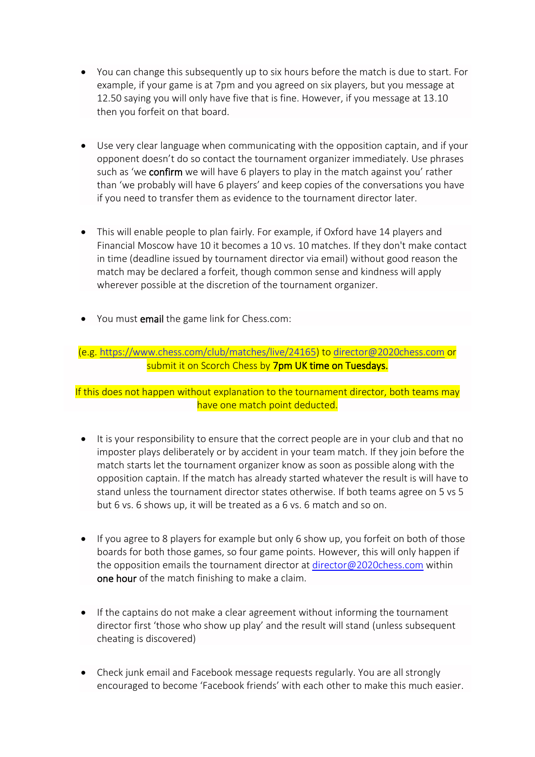- You can change this subsequently up to six hours before the match is due to start. For example, if your game is at 7pm and you agreed on six players, but you message at 12.50 saying you will only have five that is fine. However, if you message at 13.10 then you forfeit on that board.
- Use very clear language when communicating with the opposition captain, and if your opponent doesn't do so contact the tournament organizer immediately. Use phrases such as 'we confirm we will have 6 players to play in the match against you' rather than 'we probably will have 6 players' and keep copies of the conversations you have if you need to transfer them as evidence to the tournament director later.
- This will enable people to plan fairly. For example, if Oxford have 14 players and Financial Moscow have 10 it becomes a 10 vs. 10 matches. If they don't make contact in time (deadline issued by tournament director via email) without good reason the match may be declared a forfeit, though common sense and kindness will apply wherever possible at the discretion of the tournament organizer.
- You must email the game link for Chess.com:

(e.g. [https://www.chess.com/club/matches/live/24165\)](https://www.chess.com/club/matches/live/24165) to [director@2020chess.com](mailto:director@2020chess.com) or submit it on Scorch Chess by 7pm UK time on Tuesdays.

If this does not happen without explanation to the tournament director, both teams may have one match point deducted.

- It is your responsibility to ensure that the correct people are in your club and that no imposter plays deliberately or by accident in your team match. If they join before the match starts let the tournament organizer know as soon as possible along with the opposition captain. If the match has already started whatever the result is will have to stand unless the tournament director states otherwise. If both teams agree on 5 vs 5 but 6 vs. 6 shows up, it will be treated as a 6 vs. 6 match and so on.
- If you agree to 8 players for example but only 6 show up, you forfeit on both of those boards for both those games, so four game points. However, this will only happen if the opposition emails the tournament director a[t director@2020chess.com](mailto:director@2020chess.com) within one hour of the match finishing to make a claim.
- If the captains do not make a clear agreement without informing the tournament director first 'those who show up play' and the result will stand (unless subsequent cheating is discovered)
- Check junk email and Facebook message requests regularly. You are all strongly encouraged to become 'Facebook friends' with each other to make this much easier.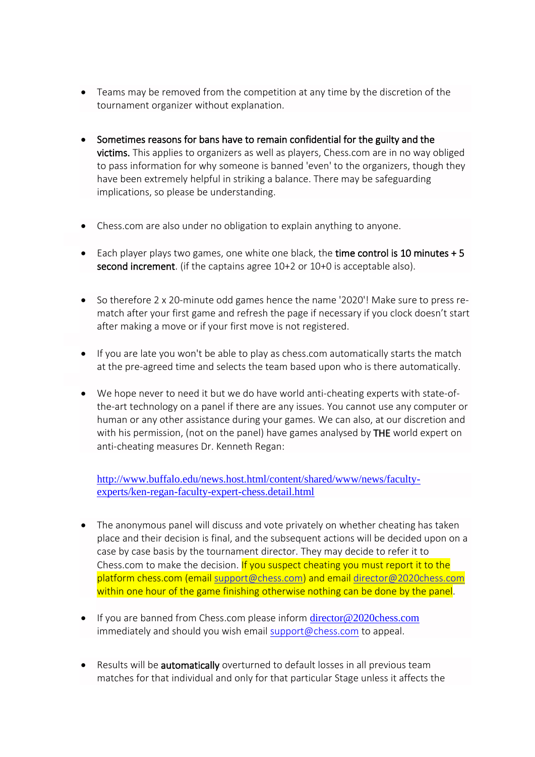- Teams may be removed from the competition at any time by the discretion of the tournament organizer without explanation.
- Sometimes reasons for bans have to remain confidential for the guilty and the victims. This applies to organizers as well as players, Chess.com are in no way obliged to pass information for why someone is banned 'even' to the organizers, though they have been extremely helpful in striking a balance. There may be safeguarding implications, so please be understanding.
- Chess.com are also under no obligation to explain anything to anyone.
- Each player plays two games, one white one black, the time control is 10 minutes + 5 second increment. (if the captains agree 10+2 or 10+0 is acceptable also).
- So therefore 2 x 20-minute odd games hence the name '2020'! Make sure to press rematch after your first game and refresh the page if necessary if you clock doesn't start after making a move or if your first move is not registered.
- If you are late you won't be able to play as chess.com automatically starts the match at the pre-agreed time and selects the team based upon who is there automatically.
- We hope never to need it but we do have world anti-cheating experts with state-ofthe-art technology on a panel if there are any issues. You cannot use any computer or human or any other assistance during your games. We can also, at our discretion and with his permission, (not on the panel) have games analysed by THE world expert on anti-cheating measures Dr. Kenneth Regan:

[http://www.buffalo.edu/news.host.html/content/shared/www/news/faculty](http://www.buffalo.edu/news.host.html/content/shared/www/news/faculty-experts/ken-regan-faculty-expert-chess.detail.html)[experts/ken-regan-faculty-expert-chess.detail.html](http://www.buffalo.edu/news.host.html/content/shared/www/news/faculty-experts/ken-regan-faculty-expert-chess.detail.html)

- The anonymous panel will discuss and vote privately on whether cheating has taken place and their decision is final, and the subsequent actions will be decided upon on a case by case basis by the tournament director. They may decide to refer it to Chess.com to make the decision. If you suspect cheating you must report it to the platform chess.com (email [support@chess.com\)](mailto:support@chess.com) and email [director@2020chess.com](mailto:director@2020chess.com) within one hour of the game finishing otherwise nothing can be done by the panel.
- If you are banned from Chess.com please inform [director@2020chess.com](mailto:director@2020chess.com) immediately and should you wish email [support@chess.com](mailto:support@chess.com) to appeal.
- Results will be **automatically** overturned to default losses in all previous team matches for that individual and only for that particular Stage unless it affects the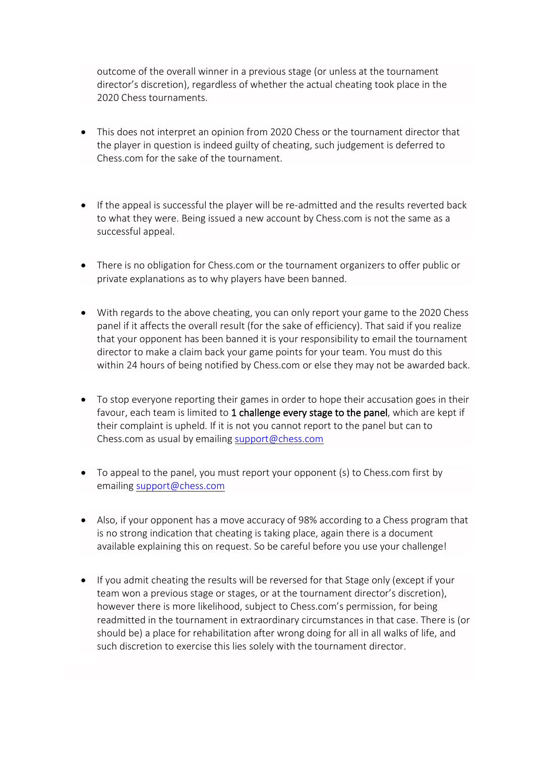outcome of the overall winner in a previous stage (or unless at the tournament director's discretion), regardless of whether the actual cheating took place in the 2020 Chess tournaments.

- This does not interpret an opinion from 2020 Chess or the tournament director that the player in question is indeed guilty of cheating, such judgement is deferred to Chess.com for the sake of the tournament.
- If the appeal is successful the player will be re-admitted and the results reverted back to what they were. Being issued a new account by Chess.com is not the same as a successful appeal.
- There is no obligation for Chess.com or the tournament organizers to offer public or private explanations as to why players have been banned.
- With regards to the above cheating, you can only report your game to the 2020 Chess panel if it affects the overall result (for the sake of efficiency). That said if you realize that your opponent has been banned it is your responsibility to email the tournament director to make a claim back your game points for your team. You must do this within 24 hours of being notified by Chess.com or else they may not be awarded back.
- To stop everyone reporting their games in order to hope their accusation goes in their favour, each team is limited to 1 challenge every stage to the panel, which are kept if their complaint is upheld. If it is not you cannot report to the panel but can to Chess.com as usual by emailing [support@chess.com](mailto:support@chess.com)
- To appeal to the panel, you must report your opponent (s) to Chess.com first by emailing [support@chess.com](mailto:support@chess.com)
- Also, if your opponent has a move accuracy of 98% according to a Chess program that is no strong indication that cheating is taking place, again there is a document available explaining this on request. So be careful before you use your challenge!
- If you admit cheating the results will be reversed for that Stage only (except if your team won a previous stage or stages, or at the tournament director's discretion), however there is more likelihood, subject to Chess.com's permission, for being readmitted in the tournament in extraordinary circumstances in that case. There is (or should be) a place for rehabilitation after wrong doing for all in all walks of life, and such discretion to exercise this lies solely with the tournament director.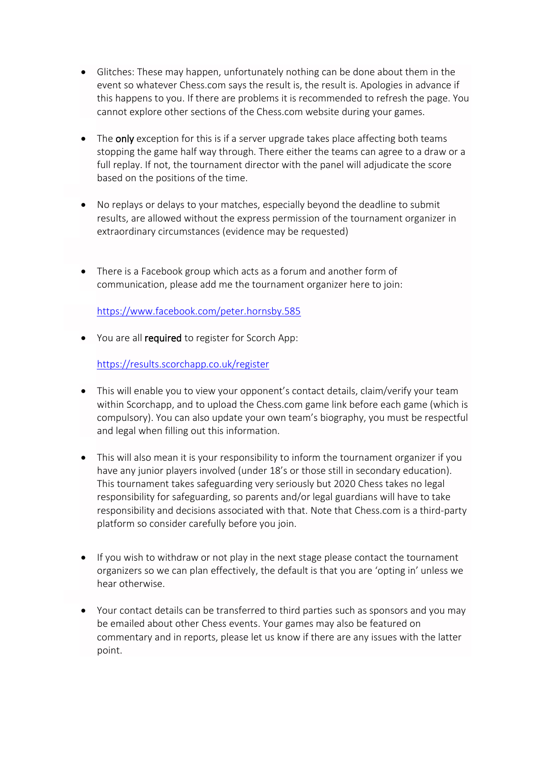- Glitches: These may happen, unfortunately nothing can be done about them in the event so whatever Chess.com says the result is, the result is. Apologies in advance if this happens to you. If there are problems it is recommended to refresh the page. You cannot explore other sections of the Chess.com website during your games.
- The only exception for this is if a server upgrade takes place affecting both teams stopping the game half way through. There either the teams can agree to a draw or a full replay. If not, the tournament director with the panel will adjudicate the score based on the positions of the time.
- No replays or delays to your matches, especially beyond the deadline to submit results, are allowed without the express permission of the tournament organizer in extraordinary circumstances (evidence may be requested)
- There is a Facebook group which acts as a forum and another form of communication, please add me the tournament organizer here to join:

<https://www.facebook.com/peter.hornsby.585>

• You are all required to register for Scorch App:

<https://results.scorchapp.co.uk/register>

- This will enable you to view your opponent's contact details, claim/verify your team within Scorchapp, and to upload the Chess.com game link before each game (which is compulsory). You can also update your own team's biography, you must be respectful and legal when filling out this information.
- This will also mean it is your responsibility to inform the tournament organizer if you have any junior players involved (under 18's or those still in secondary education). This tournament takes safeguarding very seriously but 2020 Chess takes no legal responsibility for safeguarding, so parents and/or legal guardians will have to take responsibility and decisions associated with that. Note that Chess.com is a third-party platform so consider carefully before you join.
- If you wish to withdraw or not play in the next stage please contact the tournament organizers so we can plan effectively, the default is that you are 'opting in' unless we hear otherwise.
- Your contact details can be transferred to third parties such as sponsors and you may be emailed about other Chess events. Your games may also be featured on commentary and in reports, please let us know if there are any issues with the latter point.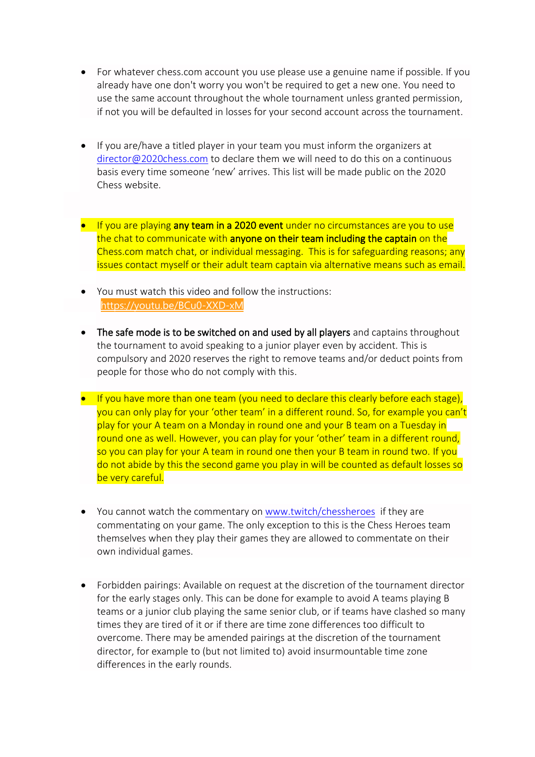- For whatever chess.com account you use please use a genuine name if possible. If you already have one don't worry you won't be required to get a new one. You need to use the same account throughout the whole tournament unless granted permission, if not you will be defaulted in losses for your second account across the tournament.
- If you are/have a titled player in your team you must inform the organizers at [director@2020chess.com](mailto:director@2020chess.com) to declare them we will need to do this on a continuous basis every time someone 'new' arrives. This list will be made public on the 2020 Chess website.
- If you are playing any team in a 2020 event under no circumstances are you to use the chat to communicate with anyone on their team including the captain on the Chess.com match chat, or individual messaging. This is for safeguarding reasons; any issues contact myself or their adult team captain via alternative means such as email.
- You must watch this video and follow the instructions: [https://youtu.be/BCu0-XXD-xM](https://youtu.be/BCu0-XXD-xM?fbclid=IwAR2bfUbbY-sDfn6CLkyxEQrSTTHDTPMpQ4s4qdMVb_Yh7p_V7cHUXi1l-FY)
- The safe mode is to be switched on and used by all players and captains throughout the tournament to avoid speaking to a junior player even by accident. This is compulsory and 2020 reserves the right to remove teams and/or deduct points from people for those who do not comply with this.
- If you have more than one team (you need to declare this clearly before each stage), you can only play for your 'other team' in a different round. So, for example you can't play for your A team on a Monday in round one and your B team on a Tuesday in round one as well. However, you can play for your 'other' team in a different round, so you can play for your A team in round one then your B team in round two. If you do not abide by this the second game you play in will be counted as default losses so be very careful.
- You cannot watch the commentary on [www.twitch/chessheroes](http://www.twitch/chessheroes) if they are commentating on your game. The only exception to this is the Chess Heroes team themselves when they play their games they are allowed to commentate on their own individual games.
- Forbidden pairings: Available on request at the discretion of the tournament director for the early stages only. This can be done for example to avoid A teams playing B teams or a junior club playing the same senior club, or if teams have clashed so many times they are tired of it or if there are time zone differences too difficult to overcome. There may be amended pairings at the discretion of the tournament director, for example to (but not limited to) avoid insurmountable time zone differences in the early rounds.